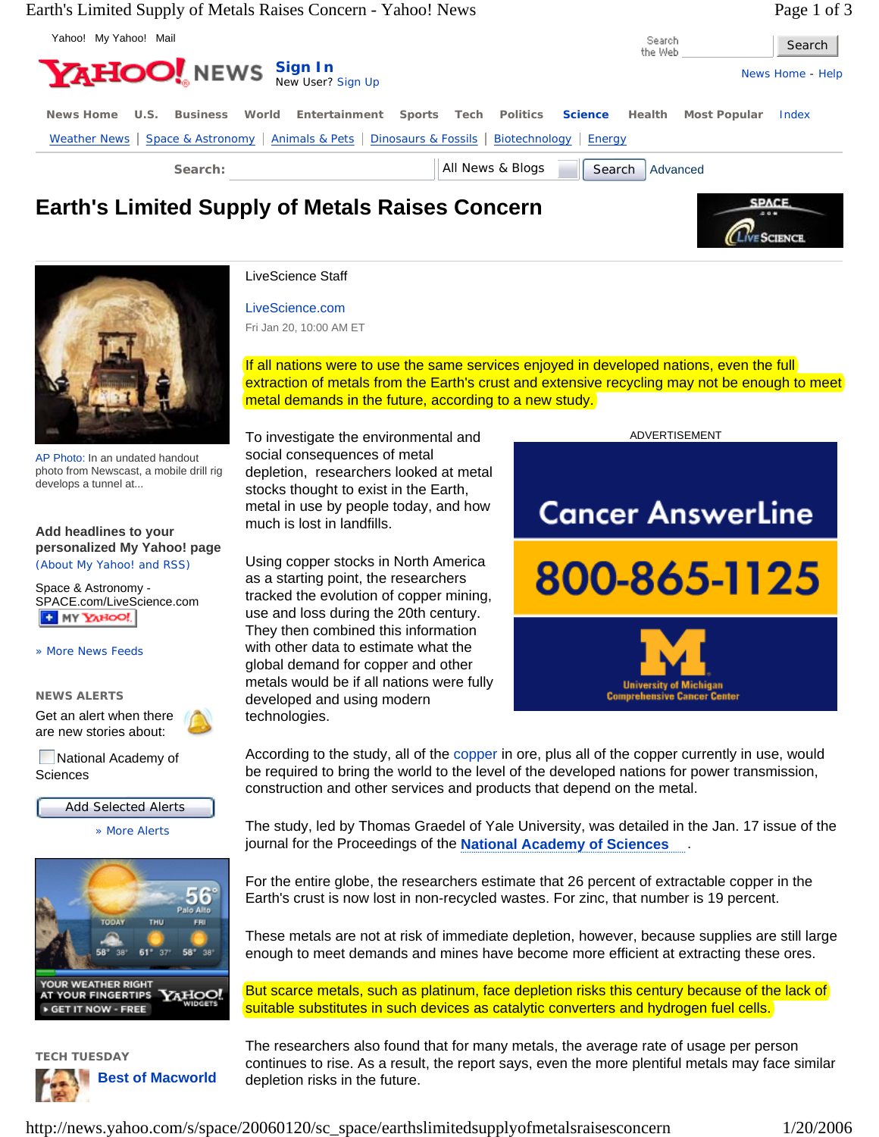## Earth's Limited Supply of Metals Raises Concern - Yahoo! News Page 1 of 3

| Yahoo! My Yahoo! Mail                                                                                                                             |                                    | Search<br>the Web        | Search                |
|---------------------------------------------------------------------------------------------------------------------------------------------------|------------------------------------|--------------------------|-----------------------|
| YAHOO! NEWS<br><b>Sign In</b><br>New User? Sign Up                                                                                                |                                    |                          | News Home - Help      |
| <b>Business</b><br>World<br>U.S.<br>News Home<br>Weather News   Space & Astronomy   Animals & Pets   Dinosaurs & Fossils   Biotechnology   Energy | Entertainment Sports Tech Politics | <b>Science</b><br>Health | Most Popular<br>Index |
| Search:                                                                                                                                           | All News & Blogs                   | Search                   | Advanced              |
| <b>Earth's Limited Supply of Metals Raises Concern</b>                                                                                            |                                    |                          | <b>SPACE</b><br>49.9  |



AP Photo: In an undated handout photo from Newscast, a mobile drill rig develops a tunnel at...

#### **Add headlines to your personalized My Yahoo! page**  (About My Yahoo! and RSS)

Space & Astronomy - SPACE.com/LiveScience.com **D** MY YAHOO!  $\overline{\phantom{a}}$ 

» More News Feeds

#### **NEWS ALERTS**



National Academy of **Sciences** 







#### LiveScience Staff

## LiveScience.com

Fri Jan 20, 10:00 AM ET

If all nations were to use the same services enjoyed in developed nations, even the full extraction of metals from the Earth's crust and extensive recycling may not be enough to meet metal demands in the future, according to a new study.

To investigate the environmental and social consequences of metal depletion, researchers looked at metal stocks thought to exist in the Earth, metal in use by people today, and how much is lost in landfills.

Using copper stocks in North America as a starting point, the researchers tracked the evolution of copper mining, use and loss during the 20th century. They then combined this information with other data to estimate what the global demand for copper and other metals would be if all nations were fully developed and using modern technologies.

According to the study, all of the copper in ore, plus all of the copper currently in use, would be required to bring the world to the level of the developed nations for power transmission, construction and other services and products that depend on the metal.

The study, led by Thomas Graedel of Yale University, was detailed in the Jan. 17 issue of the journal for the Proceedings of the **National Academy of Sciences**.

For the entire globe, the researchers estimate that 26 percent of extractable copper in the Earth's crust is now lost in non-recycled wastes. For zinc, that number is 19 percent.

These metals are not at risk of immediate depletion, however, because supplies are still large enough to meet demands and mines have become more efficient at extracting these ores.

But scarce metals, such as platinum, face depletion risks this century because of the lack of suitable substitutes in such devices as catalytic converters and hydrogen fuel cells.

The researchers also found that for many metals, the average rate of usage per person continues to rise. As a result, the report says, even the more plentiful metals may face similar depletion risks in the future.





**THE SCIENCE**